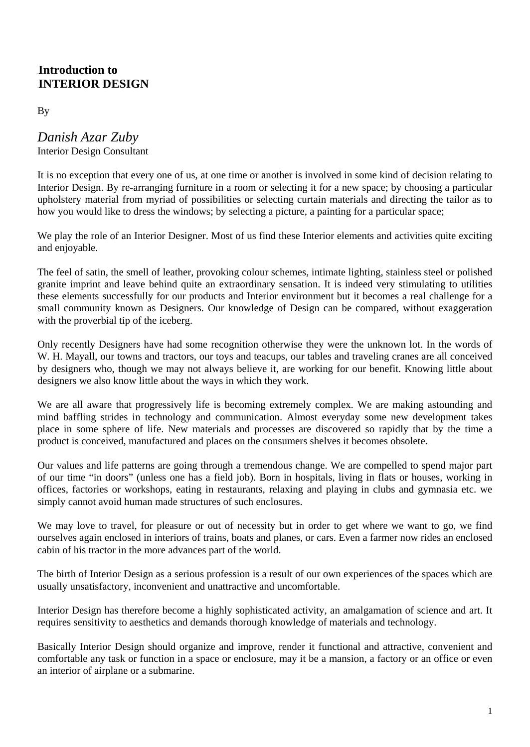# 0B**Introduction to**  1B**INTERIOR DESIGN**

By

*Danish Azar Zuby* Interior Design Consultant

It is no exception that every one of us, at one time or another is involved in some kind of decision relating to Interior Design. By re-arranging furniture in a room or selecting it for a new space; by choosing a particular upholstery material from myriad of possibilities or selecting curtain materials and directing the tailor as to how you would like to dress the windows; by selecting a picture, a painting for a particular space;

We play the role of an Interior Designer. Most of us find these Interior elements and activities quite exciting and enjoyable.

The feel of satin, the smell of leather, provoking colour schemes, intimate lighting, stainless steel or polished granite imprint and leave behind quite an extraordinary sensation. It is indeed very stimulating to utilities these elements successfully for our products and Interior environment but it becomes a real challenge for a small community known as Designers. Our knowledge of Design can be compared, without exaggeration with the proverbial tip of the iceberg.

Only recently Designers have had some recognition otherwise they were the unknown lot. In the words of W. H. Mayall, our towns and tractors, our toys and teacups, our tables and traveling cranes are all conceived by designers who, though we may not always believe it, are working for our benefit. Knowing little about designers we also know little about the ways in which they work.

We are all aware that progressively life is becoming extremely complex. We are making astounding and mind baffling strides in technology and communication. Almost everyday some new development takes place in some sphere of life. New materials and processes are discovered so rapidly that by the time a product is conceived, manufactured and places on the consumers shelves it becomes obsolete.

Our values and life patterns are going through a tremendous change. We are compelled to spend major part of our time "in doors" (unless one has a field job). Born in hospitals, living in flats or houses, working in offices, factories or workshops, eating in restaurants, relaxing and playing in clubs and gymnasia etc. we simply cannot avoid human made structures of such enclosures.

We may love to travel, for pleasure or out of necessity but in order to get where we want to go, we find ourselves again enclosed in interiors of trains, boats and planes, or cars. Even a farmer now rides an enclosed cabin of his tractor in the more advances part of the world.

The birth of Interior Design as a serious profession is a result of our own experiences of the spaces which are usually unsatisfactory, inconvenient and unattractive and uncomfortable.

Interior Design has therefore become a highly sophisticated activity, an amalgamation of science and art. It requires sensitivity to aesthetics and demands thorough knowledge of materials and technology.

Basically Interior Design should organize and improve, render it functional and attractive, convenient and comfortable any task or function in a space or enclosure, may it be a mansion, a factory or an office or even an interior of airplane or a submarine.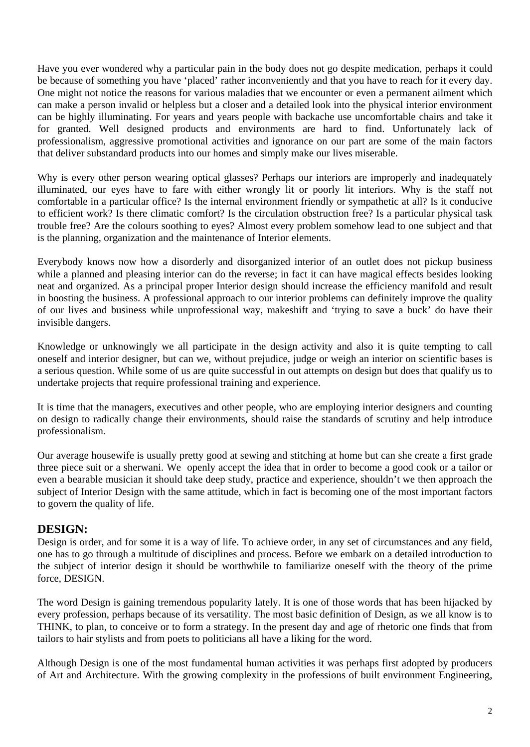Have you ever wondered why a particular pain in the body does not go despite medication, perhaps it could be because of something you have 'placed' rather inconveniently and that you have to reach for it every day. One might not notice the reasons for various maladies that we encounter or even a permanent ailment which can make a person invalid or helpless but a closer and a detailed look into the physical interior environment can be highly illuminating. For years and years people with backache use uncomfortable chairs and take it for granted. Well designed products and environments are hard to find. Unfortunately lack of professionalism, aggressive promotional activities and ignorance on our part are some of the main factors that deliver substandard products into our homes and simply make our lives miserable.

Why is every other person wearing optical glasses? Perhaps our interiors are improperly and inadequately illuminated, our eyes have to fare with either wrongly lit or poorly lit interiors. Why is the staff not comfortable in a particular office? Is the internal environment friendly or sympathetic at all? Is it conducive to efficient work? Is there climatic comfort? Is the circulation obstruction free? Is a particular physical task trouble free? Are the colours soothing to eyes? Almost every problem somehow lead to one subject and that is the planning, organization and the maintenance of Interior elements.

Everybody knows now how a disorderly and disorganized interior of an outlet does not pickup business while a planned and pleasing interior can do the reverse; in fact it can have magical effects besides looking neat and organized. As a principal proper Interior design should increase the efficiency manifold and result in boosting the business. A professional approach to our interior problems can definitely improve the quality of our lives and business while unprofessional way, makeshift and 'trying to save a buck' do have their invisible dangers.

Knowledge or unknowingly we all participate in the design activity and also it is quite tempting to call oneself and interior designer, but can we, without prejudice, judge or weigh an interior on scientific bases is a serious question. While some of us are quite successful in out attempts on design but does that qualify us to undertake projects that require professional training and experience.

It is time that the managers, executives and other people, who are employing interior designers and counting on design to radically change their environments, should raise the standards of scrutiny and help introduce professionalism.

Our average housewife is usually pretty good at sewing and stitching at home but can she create a first grade three piece suit or a sherwani. We openly accept the idea that in order to become a good cook or a tailor or even a bearable musician it should take deep study, practice and experience, shouldn't we then approach the subject of Interior Design with the same attitude, which in fact is becoming one of the most important factors to govern the quality of life.

# **DESIGN:**

Design is order, and for some it is a way of life. To achieve order, in any set of circumstances and any field, one has to go through a multitude of disciplines and process. Before we embark on a detailed introduction to the subject of interior design it should be worthwhile to familiarize oneself with the theory of the prime force, DESIGN.

The word Design is gaining tremendous popularity lately. It is one of those words that has been hijacked by every profession, perhaps because of its versatility. The most basic definition of Design, as we all know is to THINK, to plan, to conceive or to form a strategy. In the present day and age of rhetoric one finds that from tailors to hair stylists and from poets to politicians all have a liking for the word.

Although Design is one of the most fundamental human activities it was perhaps first adopted by producers of Art and Architecture. With the growing complexity in the professions of built environment Engineering,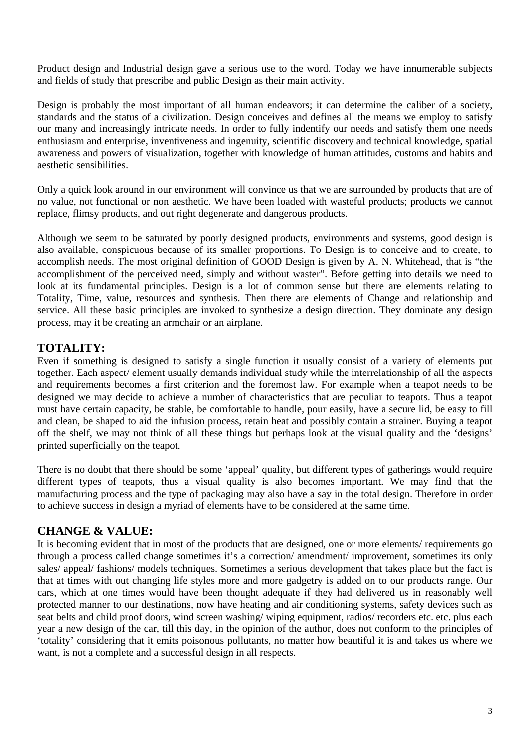Product design and Industrial design gave a serious use to the word. Today we have innumerable subjects and fields of study that prescribe and public Design as their main activity.

Design is probably the most important of all human endeavors; it can determine the caliber of a society, standards and the status of a civilization. Design conceives and defines all the means we employ to satisfy our many and increasingly intricate needs. In order to fully indentify our needs and satisfy them one needs enthusiasm and enterprise, inventiveness and ingenuity, scientific discovery and technical knowledge, spatial awareness and powers of visualization, together with knowledge of human attitudes, customs and habits and aesthetic sensibilities.

Only a quick look around in our environment will convince us that we are surrounded by products that are of no value, not functional or non aesthetic. We have been loaded with wasteful products; products we cannot replace, flimsy products, and out right degenerate and dangerous products.

Although we seem to be saturated by poorly designed products, environments and systems, good design is also available, conspicuous because of its smaller proportions. To Design is to conceive and to create, to accomplish needs. The most original definition of GOOD Design is given by A. N. Whitehead, that is "the accomplishment of the perceived need, simply and without waster". Before getting into details we need to look at its fundamental principles. Design is a lot of common sense but there are elements relating to Totality, Time, value, resources and synthesis. Then there are elements of Change and relationship and service. All these basic principles are invoked to synthesize a design direction. They dominate any design process, may it be creating an armchair or an airplane.

# **TOTALITY:**

Even if something is designed to satisfy a single function it usually consist of a variety of elements put together. Each aspect/ element usually demands individual study while the interrelationship of all the aspects and requirements becomes a first criterion and the foremost law. For example when a teapot needs to be designed we may decide to achieve a number of characteristics that are peculiar to teapots. Thus a teapot must have certain capacity, be stable, be comfortable to handle, pour easily, have a secure lid, be easy to fill and clean, be shaped to aid the infusion process, retain heat and possibly contain a strainer. Buying a teapot off the shelf, we may not think of all these things but perhaps look at the visual quality and the 'designs' printed superficially on the teapot.

There is no doubt that there should be some 'appeal' quality, but different types of gatherings would require different types of teapots, thus a visual quality is also becomes important. We may find that the manufacturing process and the type of packaging may also have a say in the total design. Therefore in order to achieve success in design a myriad of elements have to be considered at the same time.

# **CHANGE & VALUE:**

It is becoming evident that in most of the products that are designed, one or more elements/ requirements go through a process called change sometimes it's a correction/ amendment/ improvement, sometimes its only sales/ appeal/ fashions/ models techniques. Sometimes a serious development that takes place but the fact is that at times with out changing life styles more and more gadgetry is added on to our products range. Our cars, which at one times would have been thought adequate if they had delivered us in reasonably well protected manner to our destinations, now have heating and air conditioning systems, safety devices such as seat belts and child proof doors, wind screen washing/ wiping equipment, radios/ recorders etc. etc. plus each year a new design of the car, till this day, in the opinion of the author, does not conform to the principles of 'totality' considering that it emits poisonous pollutants, no matter how beautiful it is and takes us where we want, is not a complete and a successful design in all respects.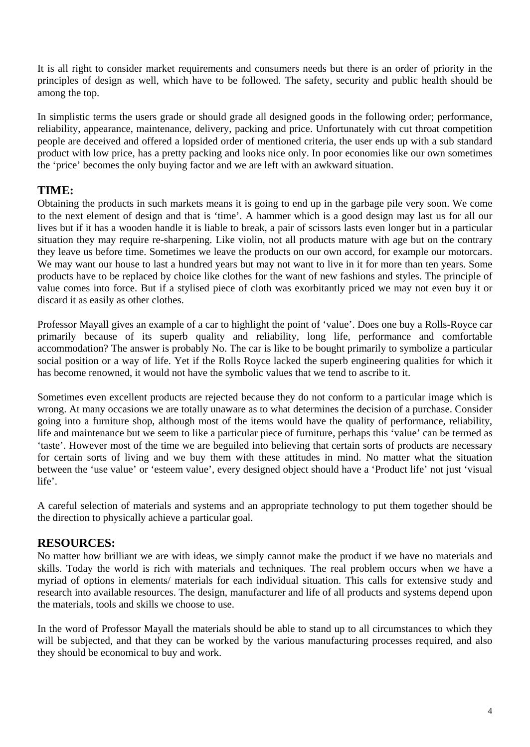It is all right to consider market requirements and consumers needs but there is an order of priority in the principles of design as well, which have to be followed. The safety, security and public health should be among the top.

In simplistic terms the users grade or should grade all designed goods in the following order; performance, reliability, appearance, maintenance, delivery, packing and price. Unfortunately with cut throat competition people are deceived and offered a lopsided order of mentioned criteria, the user ends up with a sub standard product with low price, has a pretty packing and looks nice only. In poor economies like our own sometimes the 'price' becomes the only buying factor and we are left with an awkward situation.

# **TIME:**

Obtaining the products in such markets means it is going to end up in the garbage pile very soon. We come to the next element of design and that is 'time'. A hammer which is a good design may last us for all our lives but if it has a wooden handle it is liable to break, a pair of scissors lasts even longer but in a particular situation they may require re-sharpening. Like violin, not all products mature with age but on the contrary they leave us before time. Sometimes we leave the products on our own accord, for example our motorcars. We may want our house to last a hundred years but may not want to live in it for more than ten years. Some products have to be replaced by choice like clothes for the want of new fashions and styles. The principle of value comes into force. But if a stylised piece of cloth was exorbitantly priced we may not even buy it or discard it as easily as other clothes.

Professor Mayall gives an example of a car to highlight the point of 'value'. Does one buy a Rolls-Royce car primarily because of its superb quality and reliability, long life, performance and comfortable accommodation? The answer is probably No. The car is like to be bought primarily to symbolize a particular social position or a way of life. Yet if the Rolls Royce lacked the superb engineering qualities for which it has become renowned, it would not have the symbolic values that we tend to ascribe to it.

Sometimes even excellent products are rejected because they do not conform to a particular image which is wrong. At many occasions we are totally unaware as to what determines the decision of a purchase. Consider going into a furniture shop, although most of the items would have the quality of performance, reliability, life and maintenance but we seem to like a particular piece of furniture, perhaps this 'value' can be termed as 'taste'. However most of the time we are beguiled into believing that certain sorts of products are necessary for certain sorts of living and we buy them with these attitudes in mind. No matter what the situation between the 'use value' or 'esteem value', every designed object should have a 'Product life' not just 'visual life'.

A careful selection of materials and systems and an appropriate technology to put them together should be the direction to physically achieve a particular goal.

# **RESOURCES:**

No matter how brilliant we are with ideas, we simply cannot make the product if we have no materials and skills. Today the world is rich with materials and techniques. The real problem occurs when we have a myriad of options in elements/ materials for each individual situation. This calls for extensive study and research into available resources. The design, manufacturer and life of all products and systems depend upon the materials, tools and skills we choose to use.

In the word of Professor Mayall the materials should be able to stand up to all circumstances to which they will be subjected, and that they can be worked by the various manufacturing processes required, and also they should be economical to buy and work.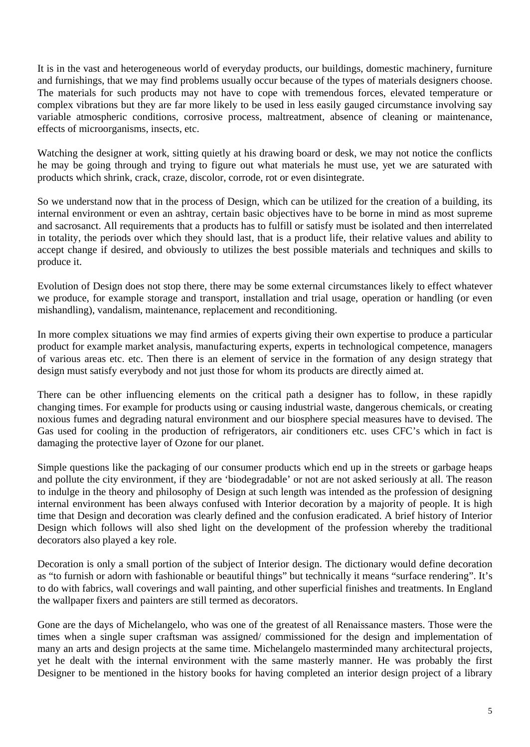It is in the vast and heterogeneous world of everyday products, our buildings, domestic machinery, furniture and furnishings, that we may find problems usually occur because of the types of materials designers choose. The materials for such products may not have to cope with tremendous forces, elevated temperature or complex vibrations but they are far more likely to be used in less easily gauged circumstance involving say variable atmospheric conditions, corrosive process, maltreatment, absence of cleaning or maintenance, effects of microorganisms, insects, etc.

Watching the designer at work, sitting quietly at his drawing board or desk, we may not notice the conflicts he may be going through and trying to figure out what materials he must use, yet we are saturated with products which shrink, crack, craze, discolor, corrode, rot or even disintegrate.

So we understand now that in the process of Design, which can be utilized for the creation of a building, its internal environment or even an ashtray, certain basic objectives have to be borne in mind as most supreme and sacrosanct. All requirements that a products has to fulfill or satisfy must be isolated and then interrelated in totality, the periods over which they should last, that is a product life, their relative values and ability to accept change if desired, and obviously to utilizes the best possible materials and techniques and skills to produce it.

Evolution of Design does not stop there, there may be some external circumstances likely to effect whatever we produce, for example storage and transport, installation and trial usage, operation or handling (or even mishandling), vandalism, maintenance, replacement and reconditioning.

In more complex situations we may find armies of experts giving their own expertise to produce a particular product for example market analysis, manufacturing experts, experts in technological competence, managers of various areas etc. etc. Then there is an element of service in the formation of any design strategy that design must satisfy everybody and not just those for whom its products are directly aimed at.

There can be other influencing elements on the critical path a designer has to follow, in these rapidly changing times. For example for products using or causing industrial waste, dangerous chemicals, or creating noxious fumes and degrading natural environment and our biosphere special measures have to devised. The Gas used for cooling in the production of refrigerators, air conditioners etc. uses CFC's which in fact is damaging the protective layer of Ozone for our planet.

Simple questions like the packaging of our consumer products which end up in the streets or garbage heaps and pollute the city environment, if they are 'biodegradable' or not are not asked seriously at all. The reason to indulge in the theory and philosophy of Design at such length was intended as the profession of designing internal environment has been always confused with Interior decoration by a majority of people. It is high time that Design and decoration was clearly defined and the confusion eradicated. A brief history of Interior Design which follows will also shed light on the development of the profession whereby the traditional decorators also played a key role.

Decoration is only a small portion of the subject of Interior design. The dictionary would define decoration as "to furnish or adorn with fashionable or beautiful things" but technically it means "surface rendering". It's to do with fabrics, wall coverings and wall painting, and other superficial finishes and treatments. In England the wallpaper fixers and painters are still termed as decorators.

Gone are the days of Michelangelo, who was one of the greatest of all Renaissance masters. Those were the times when a single super craftsman was assigned/ commissioned for the design and implementation of many an arts and design projects at the same time. Michelangelo masterminded many architectural projects, yet he dealt with the internal environment with the same masterly manner. He was probably the first Designer to be mentioned in the history books for having completed an interior design project of a library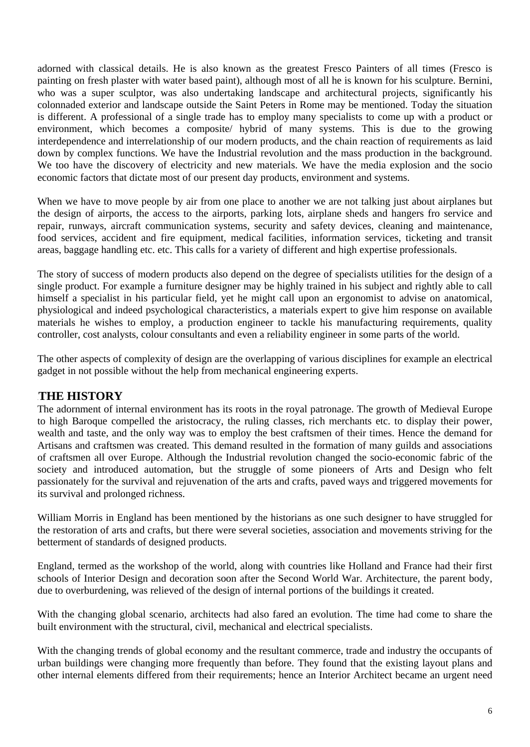adorned with classical details. He is also known as the greatest Fresco Painters of all times (Fresco is painting on fresh plaster with water based paint), although most of all he is known for his sculpture. Bernini, who was a super sculptor, was also undertaking landscape and architectural projects, significantly his colonnaded exterior and landscape outside the Saint Peters in Rome may be mentioned. Today the situation is different. A professional of a single trade has to employ many specialists to come up with a product or environment, which becomes a composite/ hybrid of many systems. This is due to the growing interdependence and interrelationship of our modern products, and the chain reaction of requirements as laid down by complex functions. We have the Industrial revolution and the mass production in the background. We too have the discovery of electricity and new materials. We have the media explosion and the socio economic factors that dictate most of our present day products, environment and systems.

When we have to move people by air from one place to another we are not talking just about airplanes but the design of airports, the access to the airports, parking lots, airplane sheds and hangers fro service and repair, runways, aircraft communication systems, security and safety devices, cleaning and maintenance, food services, accident and fire equipment, medical facilities, information services, ticketing and transit areas, baggage handling etc. etc. This calls for a variety of different and high expertise professionals.

The story of success of modern products also depend on the degree of specialists utilities for the design of a single product. For example a furniture designer may be highly trained in his subject and rightly able to call himself a specialist in his particular field, yet he might call upon an ergonomist to advise on anatomical, physiological and indeed psychological characteristics, a materials expert to give him response on available materials he wishes to employ, a production engineer to tackle his manufacturing requirements, quality controller, cost analysts, colour consultants and even a reliability engineer in some parts of the world.

The other aspects of complexity of design are the overlapping of various disciplines for example an electrical gadget in not possible without the help from mechanical engineering experts.

# **THE HISTORY**

The adornment of internal environment has its roots in the royal patronage. The growth of Medieval Europe to high Baroque compelled the aristocracy, the ruling classes, rich merchants etc. to display their power, wealth and taste, and the only way was to employ the best craftsmen of their times. Hence the demand for Artisans and craftsmen was created. This demand resulted in the formation of many guilds and associations of craftsmen all over Europe. Although the Industrial revolution changed the socio-economic fabric of the society and introduced automation, but the struggle of some pioneers of Arts and Design who felt passionately for the survival and rejuvenation of the arts and crafts, paved ways and triggered movements for its survival and prolonged richness.

William Morris in England has been mentioned by the historians as one such designer to have struggled for the restoration of arts and crafts, but there were several societies, association and movements striving for the betterment of standards of designed products.

England, termed as the workshop of the world, along with countries like Holland and France had their first schools of Interior Design and decoration soon after the Second World War. Architecture, the parent body, due to overburdening, was relieved of the design of internal portions of the buildings it created.

With the changing global scenario, architects had also fared an evolution. The time had come to share the built environment with the structural, civil, mechanical and electrical specialists.

With the changing trends of global economy and the resultant commerce, trade and industry the occupants of urban buildings were changing more frequently than before. They found that the existing layout plans and other internal elements differed from their requirements; hence an Interior Architect became an urgent need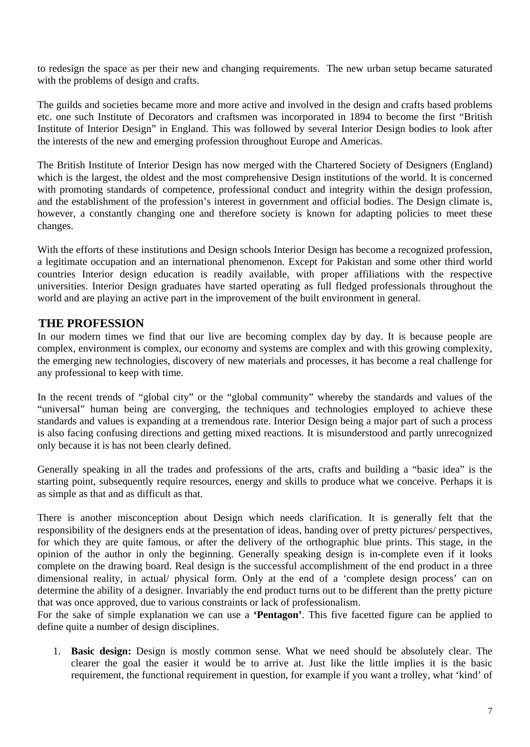to redesign the space as per their new and changing requirements. The new urban setup became saturated with the problems of design and crafts.

The guilds and societies became more and more active and involved in the design and crafts based problems etc. one such Institute of Decorators and craftsmen was incorporated in 1894 to become the first "British Institute of Interior Design" in England. This was followed by several Interior Design bodies to look after the interests of the new and emerging profession throughout Europe and Americas.

The British Institute of Interior Design has now merged with the Chartered Society of Designers (England) which is the largest, the oldest and the most comprehensive Design institutions of the world. It is concerned with promoting standards of competence, professional conduct and integrity within the design profession, and the establishment of the profession's interest in government and official bodies. The Design climate is, however, a constantly changing one and therefore society is known for adapting policies to meet these changes.

With the efforts of these institutions and Design schools Interior Design has become a recognized profession, a legitimate occupation and an international phenomenon. Except for Pakistan and some other third world countries Interior design education is readily available, with proper affiliations with the respective universities. Interior Design graduates have started operating as full fledged professionals throughout the world and are playing an active part in the improvement of the built environment in general.

# 3B**THE PROFESSION**

In our modern times we find that our live are becoming complex day by day. It is because people are complex, environment is complex, our economy and systems are complex and with this growing complexity, the emerging new technologies, discovery of new materials and processes, it has become a real challenge for any professional to keep with time.

In the recent trends of "global city" or the "global community" whereby the standards and values of the "universal" human being are converging, the techniques and technologies employed to achieve these standards and values is expanding at a tremendous rate. Interior Design being a major part of such a process is also facing confusing directions and getting mixed reactions. It is misunderstood and partly unrecognized only because it is has not been clearly defined.

Generally speaking in all the trades and professions of the arts, crafts and building a "basic idea" is the starting point, subsequently require resources, energy and skills to produce what we conceive. Perhaps it is as simple as that and as difficult as that.

There is another misconception about Design which needs clarification. It is generally felt that the responsibility of the designers ends at the presentation of ideas, handing over of pretty pictures/ perspectives, for which they are quite famous, or after the delivery of the orthographic blue prints. This stage, in the opinion of the author in only the beginning. Generally speaking design is in-complete even if it looks complete on the drawing board. Real design is the successful accomplishment of the end product in a three dimensional reality, in actual/ physical form. Only at the end of a 'complete design process' can on determine the ability of a designer. Invariably the end product turns out to be different than the pretty picture that was once approved, due to various constraints or lack of professionalism.

For the sake of simple explanation we can use a **'Pentagon'**. This five facetted figure can be applied to define quite a number of design disciplines.

1. **Basic design:** Design is mostly common sense. What we need should be absolutely clear. The clearer the goal the easier it would be to arrive at. Just like the little implies it is the basic requirement, the functional requirement in question, for example if you want a trolley, what 'kind' of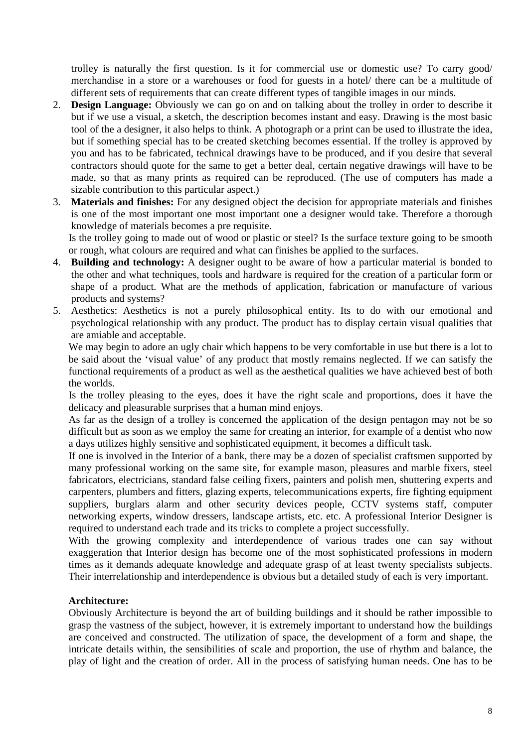trolley is naturally the first question. Is it for commercial use or domestic use? To carry good/ merchandise in a store or a warehouses or food for guests in a hotel/ there can be a multitude of different sets of requirements that can create different types of tangible images in our minds.

- 2. **Design Language:** Obviously we can go on and on talking about the trolley in order to describe it but if we use a visual, a sketch, the description becomes instant and easy. Drawing is the most basic tool of the a designer, it also helps to think. A photograph or a print can be used to illustrate the idea, but if something special has to be created sketching becomes essential. If the trolley is approved by you and has to be fabricated, technical drawings have to be produced, and if you desire that several contractors should quote for the same to get a better deal, certain negative drawings will have to be made, so that as many prints as required can be reproduced. (The use of computers has made a sizable contribution to this particular aspect.)
- 3. **Materials and finishes:** For any designed object the decision for appropriate materials and finishes is one of the most important one most important one a designer would take. Therefore a thorough knowledge of materials becomes a pre requisite.

Is the trolley going to made out of wood or plastic or steel? Is the surface texture going to be smooth or rough, what colours are required and what can finishes be applied to the surfaces.

- 4. **Building and technology:** A designer ought to be aware of how a particular material is bonded to the other and what techniques, tools and hardware is required for the creation of a particular form or shape of a product. What are the methods of application, fabrication or manufacture of various products and systems?
- 5. Aesthetics: Aesthetics is not a purely philosophical entity. Its to do with our emotional and psychological relationship with any product. The product has to display certain visual qualities that are amiable and acceptable.

We may begin to adore an ugly chair which happens to be very comfortable in use but there is a lot to be said about the 'visual value' of any product that mostly remains neglected. If we can satisfy the functional requirements of a product as well as the aesthetical qualities we have achieved best of both the worlds.

Is the trolley pleasing to the eyes, does it have the right scale and proportions, does it have the delicacy and pleasurable surprises that a human mind enjoys.

As far as the design of a trolley is concerned the application of the design pentagon may not be so difficult but as soon as we employ the same for creating an interior, for example of a dentist who now a days utilizes highly sensitive and sophisticated equipment, it becomes a difficult task.

If one is involved in the Interior of a bank, there may be a dozen of specialist craftsmen supported by many professional working on the same site, for example mason, pleasures and marble fixers, steel fabricators, electricians, standard false ceiling fixers, painters and polish men, shuttering experts and carpenters, plumbers and fitters, glazing experts, telecommunications experts, fire fighting equipment suppliers, burglars alarm and other security devices people, CCTV systems staff, computer networking experts, window dressers, landscape artists, etc. etc. A professional Interior Designer is required to understand each trade and its tricks to complete a project successfully.

With the growing complexity and interdependence of various trades one can say without exaggeration that Interior design has become one of the most sophisticated professions in modern times as it demands adequate knowledge and adequate grasp of at least twenty specialists subjects. Their interrelationship and interdependence is obvious but a detailed study of each is very important.

## **Architecture:**

Obviously Architecture is beyond the art of building buildings and it should be rather impossible to grasp the vastness of the subject, however, it is extremely important to understand how the buildings are conceived and constructed. The utilization of space, the development of a form and shape, the intricate details within, the sensibilities of scale and proportion, the use of rhythm and balance, the play of light and the creation of order. All in the process of satisfying human needs. One has to be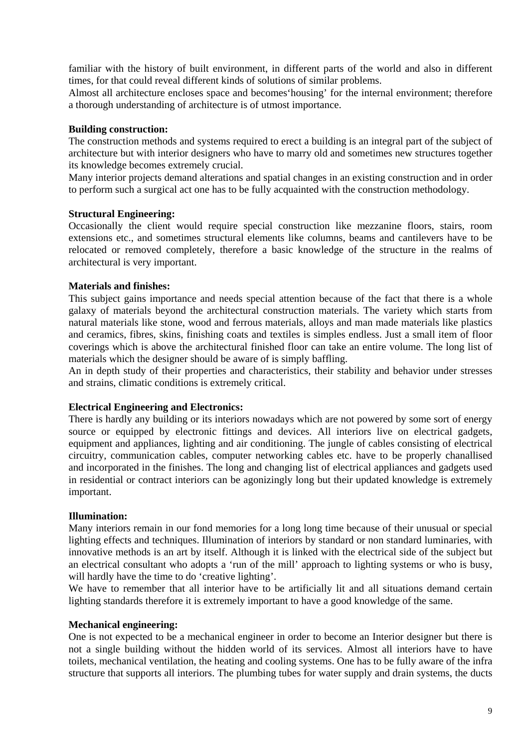familiar with the history of built environment, in different parts of the world and also in different times, for that could reveal different kinds of solutions of similar problems.

Almost all architecture encloses space and becomes'housing' for the internal environment; therefore a thorough understanding of architecture is of utmost importance.

### **Building construction:**

The construction methods and systems required to erect a building is an integral part of the subject of architecture but with interior designers who have to marry old and sometimes new structures together its knowledge becomes extremely crucial.

Many interior projects demand alterations and spatial changes in an existing construction and in order to perform such a surgical act one has to be fully acquainted with the construction methodology.

#### **Structural Engineering:**

Occasionally the client would require special construction like mezzanine floors, stairs, room extensions etc., and sometimes structural elements like columns, beams and cantilevers have to be relocated or removed completely, therefore a basic knowledge of the structure in the realms of architectural is very important.

#### **Materials and finishes:**

This subject gains importance and needs special attention because of the fact that there is a whole galaxy of materials beyond the architectural construction materials. The variety which starts from natural materials like stone, wood and ferrous materials, alloys and man made materials like plastics and ceramics, fibres, skins, finishing coats and textiles is simples endless. Just a small item of floor coverings which is above the architectural finished floor can take an entire volume. The long list of materials which the designer should be aware of is simply baffling.

An in depth study of their properties and characteristics, their stability and behavior under stresses and strains, climatic conditions is extremely critical.

#### **Electrical Engineering and Electronics:**

There is hardly any building or its interiors nowadays which are not powered by some sort of energy source or equipped by electronic fittings and devices. All interiors live on electrical gadgets, equipment and appliances, lighting and air conditioning. The jungle of cables consisting of electrical circuitry, communication cables, computer networking cables etc. have to be properly chanallised and incorporated in the finishes. The long and changing list of electrical appliances and gadgets used in residential or contract interiors can be agonizingly long but their updated knowledge is extremely important.

#### **Illumination:**

Many interiors remain in our fond memories for a long long time because of their unusual or special lighting effects and techniques. Illumination of interiors by standard or non standard luminaries, with innovative methods is an art by itself. Although it is linked with the electrical side of the subject but an electrical consultant who adopts a 'run of the mill' approach to lighting systems or who is busy, will hardly have the time to do 'creative lighting'.

We have to remember that all interior have to be artificially lit and all situations demand certain lighting standards therefore it is extremely important to have a good knowledge of the same.

#### **Mechanical engineering:**

One is not expected to be a mechanical engineer in order to become an Interior designer but there is not a single building without the hidden world of its services. Almost all interiors have to have toilets, mechanical ventilation, the heating and cooling systems. One has to be fully aware of the infra structure that supports all interiors. The plumbing tubes for water supply and drain systems, the ducts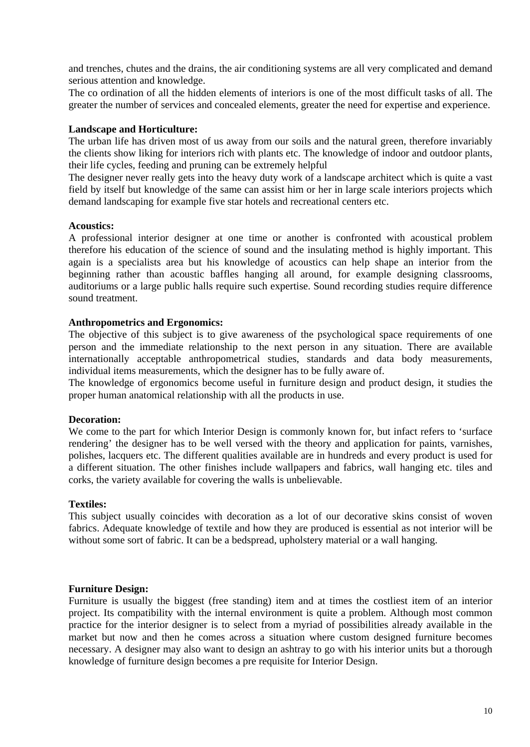and trenches, chutes and the drains, the air conditioning systems are all very complicated and demand serious attention and knowledge.

The co ordination of all the hidden elements of interiors is one of the most difficult tasks of all. The greater the number of services and concealed elements, greater the need for expertise and experience.

### **Landscape and Horticulture:**

The urban life has driven most of us away from our soils and the natural green, therefore invariably the clients show liking for interiors rich with plants etc. The knowledge of indoor and outdoor plants, their life cycles, feeding and pruning can be extremely helpful

The designer never really gets into the heavy duty work of a landscape architect which is quite a vast field by itself but knowledge of the same can assist him or her in large scale interiors projects which demand landscaping for example five star hotels and recreational centers etc.

#### **Acoustics:**

A professional interior designer at one time or another is confronted with acoustical problem therefore his education of the science of sound and the insulating method is highly important. This again is a specialists area but his knowledge of acoustics can help shape an interior from the beginning rather than acoustic baffles hanging all around, for example designing classrooms, auditoriums or a large public halls require such expertise. Sound recording studies require difference sound treatment.

## **Anthropometrics and Ergonomics:**

The objective of this subject is to give awareness of the psychological space requirements of one person and the immediate relationship to the next person in any situation. There are available internationally acceptable anthropometrical studies, standards and data body measurements, individual items measurements, which the designer has to be fully aware of.

The knowledge of ergonomics become useful in furniture design and product design, it studies the proper human anatomical relationship with all the products in use.

## **Decoration:**

We come to the part for which Interior Design is commonly known for, but infact refers to 'surface rendering' the designer has to be well versed with the theory and application for paints, varnishes, polishes, lacquers etc. The different qualities available are in hundreds and every product is used for a different situation. The other finishes include wallpapers and fabrics, wall hanging etc. tiles and corks, the variety available for covering the walls is unbelievable.

#### **Textiles:**

This subject usually coincides with decoration as a lot of our decorative skins consist of woven fabrics. Adequate knowledge of textile and how they are produced is essential as not interior will be without some sort of fabric. It can be a bedspread, upholstery material or a wall hanging.

#### **Furniture Design:**

Furniture is usually the biggest (free standing) item and at times the costliest item of an interior project. Its compatibility with the internal environment is quite a problem. Although most common practice for the interior designer is to select from a myriad of possibilities already available in the market but now and then he comes across a situation where custom designed furniture becomes necessary. A designer may also want to design an ashtray to go with his interior units but a thorough knowledge of furniture design becomes a pre requisite for Interior Design.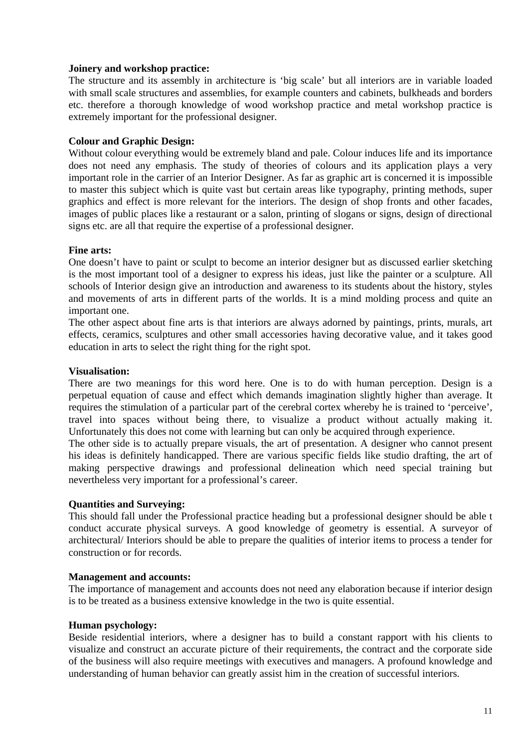## **Joinery and workshop practice:**

The structure and its assembly in architecture is 'big scale' but all interiors are in variable loaded with small scale structures and assemblies, for example counters and cabinets, bulkheads and borders etc. therefore a thorough knowledge of wood workshop practice and metal workshop practice is extremely important for the professional designer.

### **Colour and Graphic Design:**

Without colour everything would be extremely bland and pale. Colour induces life and its importance does not need any emphasis. The study of theories of colours and its application plays a very important role in the carrier of an Interior Designer. As far as graphic art is concerned it is impossible to master this subject which is quite vast but certain areas like typography, printing methods, super graphics and effect is more relevant for the interiors. The design of shop fronts and other facades, images of public places like a restaurant or a salon, printing of slogans or signs, design of directional signs etc. are all that require the expertise of a professional designer.

#### **Fine arts:**

One doesn't have to paint or sculpt to become an interior designer but as discussed earlier sketching is the most important tool of a designer to express his ideas, just like the painter or a sculpture. All schools of Interior design give an introduction and awareness to its students about the history, styles and movements of arts in different parts of the worlds. It is a mind molding process and quite an important one.

The other aspect about fine arts is that interiors are always adorned by paintings, prints, murals, art effects, ceramics, sculptures and other small accessories having decorative value, and it takes good education in arts to select the right thing for the right spot.

#### **Visualisation:**

There are two meanings for this word here. One is to do with human perception. Design is a perpetual equation of cause and effect which demands imagination slightly higher than average. It requires the stimulation of a particular part of the cerebral cortex whereby he is trained to 'perceive', travel into spaces without being there, to visualize a product without actually making it. Unfortunately this does not come with learning but can only be acquired through experience.

The other side is to actually prepare visuals, the art of presentation. A designer who cannot present his ideas is definitely handicapped. There are various specific fields like studio drafting, the art of making perspective drawings and professional delineation which need special training but nevertheless very important for a professional's career.

#### **Quantities and Surveying:**

This should fall under the Professional practice heading but a professional designer should be able t conduct accurate physical surveys. A good knowledge of geometry is essential. A surveyor of architectural/ Interiors should be able to prepare the qualities of interior items to process a tender for construction or for records.

#### **Management and accounts:**

The importance of management and accounts does not need any elaboration because if interior design is to be treated as a business extensive knowledge in the two is quite essential.

#### **Human psychology:**

Beside residential interiors, where a designer has to build a constant rapport with his clients to visualize and construct an accurate picture of their requirements, the contract and the corporate side of the business will also require meetings with executives and managers. A profound knowledge and understanding of human behavior can greatly assist him in the creation of successful interiors.